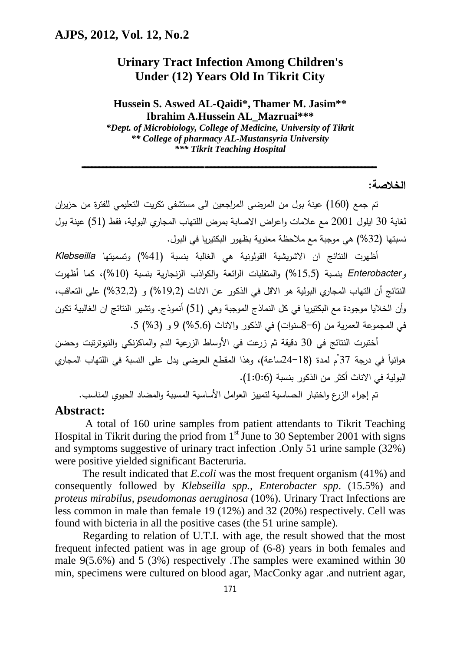## **Urinary Tract Infection Among Children's Under (12) Years Old In Tikrit City**

**Hussein S. Aswed AL-Qaidi\*, Thamer M. Jasim\*\* Ibrahim A.Hussein AL\_Mazruai\*\*\*** 

*\*Dept. of Microbiology, College of Medicine, University of Tikrit \*\* College of pharmacy AL-Mustansyria University \*\*\* Tikrit Teaching Hospital*

 **ـــــــــــــــــــــــــــــــــــــــــــــــــــــــــــــــــــــــــــــــــــــــــــــــــــــــــــــــــــــــــــــ ـــــــــــــــــــــــــــــــــــــــــــــــــــــــــــــــــــــــــــــــــــــــــ** 

**الخلاصة:** 

تم جمع (160) عینة بول من المرضى المراجعین الى مستشفى تكریت التعلیمى للفترة من حزیران لغایة 30 ایلول 2001 مع علامات واعراض الاصابة بمرض اللتهاب المجاري البولیة، فقط (51) عینة بول نسبتها (%32) هي موجبة مع ملاحظة معنویة بظهور البكتیریا في البول.

أظهرت النتائج ان الاشریشیة القولونیة هي الغالبة بنسبة (%41) وتسمیتها *Klebseilla وEnterobacter* بنسبة (%15,5) والمتقلبات ا الرئعة والكواذب الزنجاریة بنسبة (%10)، كما أظهرت النتائج أن التهاب المجاري البولیة هو الاقل في الذكور عن الاناث (%19,2) و (%32,2) على التعاقب، وأن الخلایا موجودة مع البكتیریا في كل النماذج الموجبة وهي (51) أنموذج. وتشیر النتائج ان الغالبیة تكون في المجموعة العمریة من (8-6سنوات) في الذكور والاناث (%5,6) 9 و (%3) .5

أختبرت النتائج في 30 دقیقة ثم زرعت في الأوساط الزرعیة الدم والماكزنكي والنیوترتبت وحضن هوائياً في درجة 37 ْم لمدة (18–24ساعة)، وهذا المقطع العرضي يدل على النسبة في اللتهاب المجاري البولیة في الاناث أكثر من الذكور بنسبة (1:0:6).

تم إجراء الزرع واختبار الحساسیة لتمییز العوامل الأساسیة المسببة والمضاد الحیوي المناسب.

#### **Abstract:**

A total of 160 urine samples from patient attendants to Tikrit Teaching Hospital in Tikrit during the priod from  $1<sup>st</sup>$  June to 30 September 2001 with signs and symptoms suggestive of urinary tract infection .Only 51 urine sample (32%) were positive yielded significant Bacteruria.

The result indicated that *E.coli* was the most frequent organism (41%) and consequently followed by *Klebseilla spp., Enterobacter spp*. (15.5%) and *proteus mirabilus*, *pseudomonas aeruginosa* (10%). Urinary Tract Infections are less common in male than female 19 (12%) and 32 (20%) respectively. Cell was found with bicteria in all the positive cases (the 51 urine sample).

Regarding to relation of U.T.I. with age, the result showed that the most frequent infected patient was in age group of (6-8) years in both females and male 9(5.6%) and 5 (3%) respectively .The samples were examined within 30 min, specimens were cultured on blood agar, MacConky agar .and nutrient agar,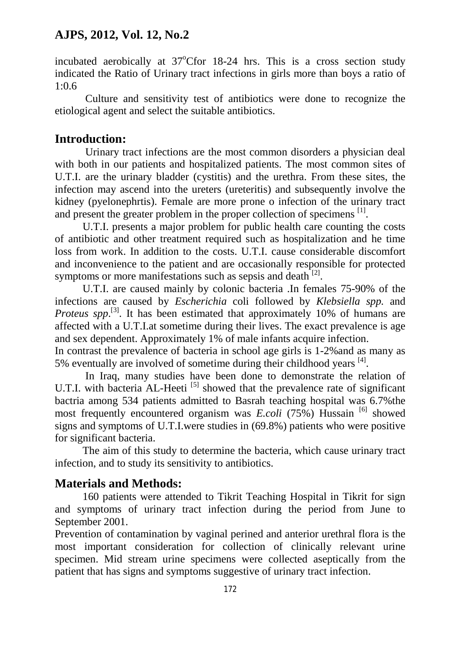incubated aerobically at  $37^{\circ}$ Cfor 18-24 hrs. This is a cross section study indicated the Ratio of Urinary tract infections in girls more than boys a ratio of 1:0.6

Culture and sensitivity test of antibiotics were done to recognize the etiological agent and select the suitable antibiotics.

### **Introduction:**

Urinary tract infections are the most common disorders a physician deal with both in our patients and hospitalized patients. The most common sites of U.T.I. are the urinary bladder (cystitis) and the urethra. From these sites, the infection may ascend into the ureters (ureteritis) and subsequently involve the kidney (pyelonephrtis). Female are more prone o infection of the urinary tract and present the greater problem in the proper collection of specimens <sup>[1]</sup>.

U.T.I. presents a major problem for public health care counting the costs of antibiotic and other treatment required such as hospitalization and he time loss from work. In addition to the costs. U.T.I. cause considerable discomfort and inconvenience to the patient and are occasionally responsible for protected symptoms or more manifestations such as sepsis and death  $^{[2]}$ .

U.T.I. are caused mainly by colonic bacteria .In females 75-90% of the infections are caused by *Escherichia* coli followed by *Klebsiella spp.* and *Proteus spp.*<sup>[3]</sup>. It has been estimated that approximately 10% of humans are affected with a U.T.I.at sometime during their lives. The exact prevalence is age and sex dependent. Approximately 1% of male infants acquire infection.

In contrast the prevalence of bacteria in school age girls is 1-2%and as many as 5% eventually are involved of sometime during their childhood years <sup>[4]</sup>.

In Iraq, many studies have been done to demonstrate the relation of U.T.I. with bacteria  $AL$ -Heeti  $^{[5]}$  showed that the prevalence rate of significant bactria among 534 patients admitted to Basrah teaching hospital was 6.7%the most frequently encountered organism was *E.coli* (75%) Hussain [6] showed signs and symptoms of U.T.I.were studies in (69.8%) patients who were positive for significant bacteria.

The aim of this study to determine the bacteria, which cause urinary tract infection, and to study its sensitivity to antibiotics.

## **Materials and Methods:**

160 patients were attended to Tikrit Teaching Hospital in Tikrit for sign and symptoms of urinary tract infection during the period from June to September 2001.

Prevention of contamination by vaginal perined and anterior urethral flora is the most important consideration for collection of clinically relevant urine specimen. Mid stream urine specimens were collected aseptically from the patient that has signs and symptoms suggestive of urinary tract infection.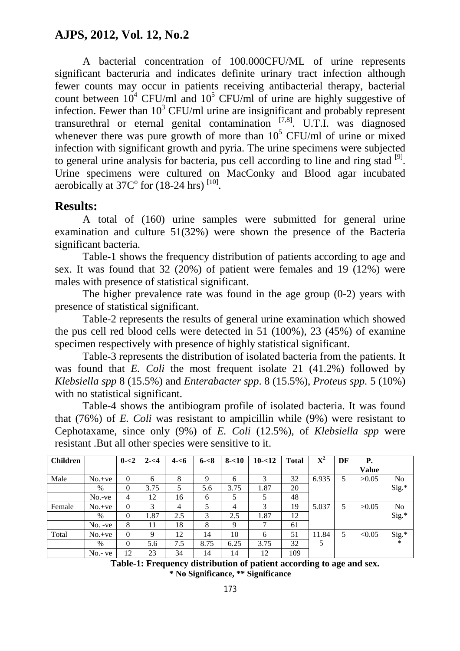A bacterial concentration of 100.000CFU/ML of urine represents significant bacteruria and indicates definite urinary tract infection although fewer counts may occur in patients receiving antibacterial therapy, bacterial count between  $10^4$  CFU/ml and  $10^5$  CFU/ml of urine are highly suggestive of infection. Fewer than  $10^3$  CFU/ml urine are insignificant and probably represent transurethral or eternal genital contamination  $[7,8]$ . U.T.I. was diagnosed whenever there was pure growth of more than  $10^5$  CFU/ml of urine or mixed infection with significant growth and pyria. The urine specimens were subjected to general urine analysis for bacteria, pus cell according to line and ring stad  $[9]$ . Urine specimens were cultured on MacConky and Blood agar incubated aerobically at  $37C^{\circ}$  for  $(18-24 \text{ hrs})$ <sup>[10]</sup>.

## **Results:**

A total of (160) urine samples were submitted for general urine examination and culture 51(32%) were shown the presence of the Bacteria significant bacteria.

Table-1 shows the frequency distribution of patients according to age and sex. It was found that 32 (20%) of patient were females and 19 (12%) were males with presence of statistical significant.

The higher prevalence rate was found in the age group (0-2) years with presence of statistical significant.

Table-2 represents the results of general urine examination which showed the pus cell red blood cells were detected in 51 (100%), 23 (45%) of examine specimen respectively with presence of highly statistical significant.

Table-3 represents the distribution of isolated bacteria from the patients. It was found that *E. Coli* the most frequent isolate 21 (41.2%) followed by *Klebsiella spp* 8 (15.5%) and *Enterabacter spp*. 8 (15.5%), *Proteus spp.* 5 (10%) with no statistical significant.

Table-4 shows the antibiogram profile of isolated bacteria. It was found that (76%) of *E. Coli* was resistant to ampicillin while (9%) were resistant to Cephotaxame, since only (9%) of *E. Coli* (12.5%), of *Klebsiella spp* were resistant .But all other species were sensitive to it.

| <b>Children</b> |            | $0 - 2$  | $2 - 54$ | $4 - 6$ | $6 - 8$ | $8 - 10$ | $10 - 12$ | <b>Total</b> | ${\bf X}^2$ | DF | Р.           |                |
|-----------------|------------|----------|----------|---------|---------|----------|-----------|--------------|-------------|----|--------------|----------------|
|                 |            |          |          |         |         |          |           |              |             |    | <b>Value</b> |                |
| Male            | $No.+ve$   | $\Omega$ | 6        | 8       | 9       | 6        | 3         | 32           | 6.935       | 5  | >0.05        | N <sub>0</sub> |
|                 | $\%$       | $\Omega$ | 3.75     | 5       | 5.6     | 3.75     | 1.87      | 20           |             |    |              | $Sig.*$        |
|                 | $No.-ve$   | 4        | 12       | 16      | 6       | 5        | 5         | 48           |             |    |              |                |
| Female          | $No.+ve$   | $\theta$ | 3        | 4       | 5       | 4        | 3         | 19           | 5.037       | 5  | >0.05        | N <sub>0</sub> |
|                 | $\%$       | $\Omega$ | 1.87     | 2.5     | 3       | 2.5      | 1.87      | 12           |             |    |              | $Sig.*$        |
|                 | $No. -ve$  | 8        | 11       | 18      | 8       | 9        | ⇁         | 61           |             |    |              |                |
| Total           | $No.+ve$   | $\Omega$ | Q        | 12      | 14      | 10       | 6         | 51           | 11.84       | 5  | < 0.05       | $Sig.*$        |
|                 | $\%$       | $\Omega$ | 5.6      | 7.5     | 8.75    | 6.25     | 3.75      | 32           |             |    |              | ∗              |
|                 | $No.$ - ve | 12       | 23       | 34      | 14      | 14       | 12        | 109          |             |    |              |                |

 **Table-1: Frequency distribution of patient according to age and sex. \* No Significance, \*\* Significance**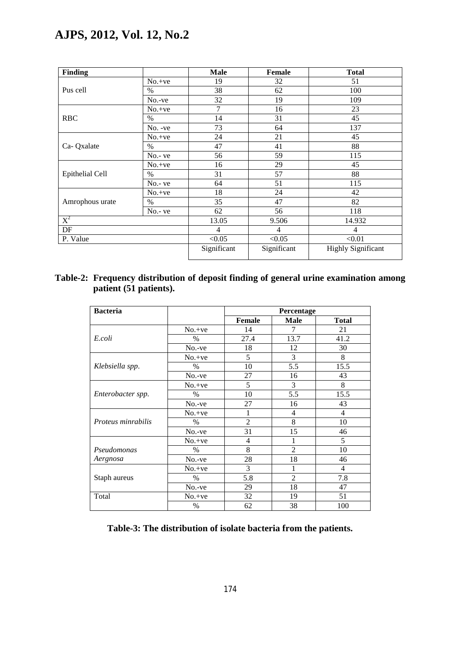| Finding         |            | <b>Male</b> | Female         | <b>Total</b>              |  |  |
|-----------------|------------|-------------|----------------|---------------------------|--|--|
|                 | $No.+ve$   | 19          | 32             | 51                        |  |  |
| Pus cell        | $\%$       | 38          | 62             | 100                       |  |  |
|                 | $No.-ve$   | 32          | 19             | 109                       |  |  |
|                 | $No.+ve$   | 7           | 16             | 23                        |  |  |
| <b>RBC</b>      | $\%$       | 14          | 31             | 45                        |  |  |
|                 | No. -ve    | 73          | 64             | 137                       |  |  |
|                 | $No.+ve$   | 24          | 21             | 45                        |  |  |
| Ca-Qxalate      | $\%$       | 47          | 41             | 88                        |  |  |
|                 | No.- ve    | 56          | 59             | 115                       |  |  |
|                 | $No.+ve$   | 16          | 29             | 45                        |  |  |
| Epithelial Cell | $\%$       | 31          | 57             | 88                        |  |  |
|                 | $No. - ve$ | 64          | 51             | 115                       |  |  |
|                 | $No.+ve$   | 18          | 24             | 42                        |  |  |
| Amrophous urate | $\%$       | 35          | 47             | 82                        |  |  |
|                 | $No. - ve$ | 62          | 56             | 118                       |  |  |
| $X^2$           |            | 13.05       | 9.506          | 14.932                    |  |  |
| $\rm DF$        |            | 4           | $\overline{4}$ | 4                         |  |  |
| P. Value        |            | < 0.05      | < 0.05         | < 0.01                    |  |  |
|                 |            | Significant | Significant    | <b>Highly Significant</b> |  |  |

### **Table-2: Frequency distribution of deposit finding of general urine examination among patient (51 patients).**

| <b>Bacteria</b>           |          | Percentage     |                |              |  |  |
|---------------------------|----------|----------------|----------------|--------------|--|--|
|                           |          | <b>Female</b>  | Male           | <b>Total</b> |  |  |
|                           | $No.+ve$ | 14             | 7              | 21           |  |  |
| E.coli                    | $\%$     | 27.4           | 13.7           | 41.2         |  |  |
|                           | No.-ve   | 18             | 12             | 30           |  |  |
|                           | $No.+ve$ | 5              | 3              | 8            |  |  |
| Klebsiella spp.           | $\%$     | 10             | 5.5            | 15.5         |  |  |
|                           | No.-ve   | 27             | 16             | 43           |  |  |
|                           | $No.+ve$ | 5              | 3              | 8            |  |  |
| Enterobacter spp.         | $\%$     | 10             | 5.5            | 15.5         |  |  |
|                           | No.-ve   | 27             | 16             | 43           |  |  |
|                           | $No.+ve$ | 1              | 4              | 4            |  |  |
| <i>Proteus minrabilis</i> | $\%$     | $\overline{2}$ | 8              | 10           |  |  |
|                           | $No.-ve$ | 31             | 15             | 46           |  |  |
|                           | $No.+ve$ | 4              | 1              | 5            |  |  |
| Pseudomonas               | $\%$     | 8              | $\overline{2}$ | 10           |  |  |
| Aergnosa                  | $No.-ve$ | 28             | 18             | 46           |  |  |
|                           | $No.+ve$ | 3              | 1              | 4            |  |  |
| Staph aureus              | $\%$     | 5.8            | $\overline{2}$ | 7.8          |  |  |
|                           | No.-ve   | 29             | 18             | 47           |  |  |
| Total                     | $No.+ve$ | 32             | 19             | 51           |  |  |
|                           | $\%$     | 62             | 38             | 100          |  |  |

**Table-3: The distribution of isolate bacteria from the patients.**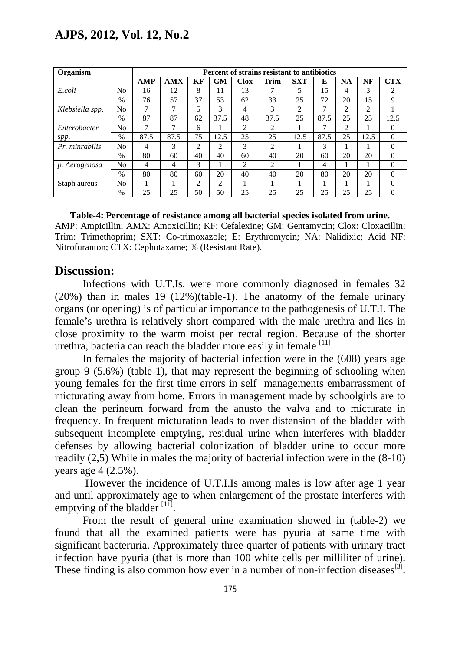| Organism        | Percent of strains resistant to antibiotics |                |      |    |                |      |      |                |      |                |      |                |
|-----------------|---------------------------------------------|----------------|------|----|----------------|------|------|----------------|------|----------------|------|----------------|
|                 |                                             | <b>AMP</b>     | AMX  | КF | GM             | Clox | Trim | <b>SXT</b>     | E    | <b>NA</b>      | NF   | <b>CTX</b>     |
| E.coli          | No.                                         | 16             | 12   | 8  | 11             | 13   | 7    | 5              | 15   | 4              | 3    | 2              |
|                 | $\%$                                        | 76             | 57   | 37 | 53             | 62   | 33   | 25             | 72   | 20             | 15   | 9              |
| Klebsiella spp. | N <sub>0</sub>                              | 7              | 7    | 5  | 3              | 4    | 3    | $\overline{2}$ | 7    | $\overline{2}$ | 2    |                |
|                 | $\%$                                        | 87             | 87   | 62 | 37.5           | 48   | 37.5 | 25             | 87.5 | 25             | 25   | 12.5           |
| Enterobacter    | No                                          | 7              | 7    | 6  |                | 2    | 2    |                | 7    | 2              |      | $\Omega$       |
| spp.            | $\%$                                        | 87.5           | 87.5 | 75 | 12.5           | 25   | 25   | 12.5           | 87.5 | 25             | 12.5 | $\Omega$       |
| Pr. minrabilis  | No                                          | 4              | 3    | 2  | $\mathfrak{D}$ | 3    | 2    |                | 3    |                |      | $\Omega$       |
|                 | $\%$                                        | 80             | 60   | 40 | 40             | 60   | 40   | 20             | 60   | 20             | 20   | $\overline{0}$ |
| p. Aerogenosa   | No                                          | $\overline{4}$ | 4    | 3  |                | 2    | 2    |                | 4    |                |      | $\Omega$       |
|                 | $\frac{0}{0}$                               | 80             | 80   | 60 | 20             | 40   | 40   | 20             | 80   | 20             | 20   | $\Omega$       |
| Staph aureus    | No                                          |                |      | 2  | 2              |      |      |                | 1    |                |      | $\Omega$       |
|                 | $\%$                                        | 25             | 25   | 50 | 50             | 25   | 25   | 25             | 25   | 25             | 25   | $\Omega$       |

# **Table-4: Percentage of resistance among all bacterial species isolated from urine.**

AMP: Ampicillin; AMX: Amoxicillin; KF: Cefalexine; GM: Gentamycin; Clox: Cloxacillin; Trim: Trimethoprim; SXT: Co-trimoxazole; E: Erythromycin; NA: Nalidixic; Acid NF: Nitrofuranton; CTX: Cephotaxame; % (Resistant Rate).

## **Discussion:**

Infections with U.T.Is. were more commonly diagnosed in females 32 (20%) than in males 19 (12%)(table-1). The anatomy of the female urinary organs (or opening) is of particular importance to the pathogenesis of U.T.I. The female's urethra is relatively short compared with the male urethra and lies in close proximity to the warm moist per rectal region. Because of the shorter urethra, bacteria can reach the bladder more easily in female  $^{[11]}$ .

In females the majority of bacterial infection were in the (608) years age group 9 (5.6%) (table-1), that may represent the beginning of schooling when young females for the first time errors in self managements embarrassment of micturating away from home. Errors in management made by schoolgirls are to clean the perineum forward from the anusto the valva and to micturate in frequency. In frequent micturation leads to over distension of the bladder with subsequent incomplete emptying, residual urine when interferes with bladder defenses by allowing bacterial colonization of bladder urine to occur more readily (2,5) While in males the majority of bacterial infection were in the (8-10) years age 4 (2.5%).

However the incidence of U.T.I.Is among males is low after age 1 year and until approximately age to when enlargement of the prostate interferes with emptying of the bladder  $\left[11\right]$ .

From the result of general urine examination showed in (table-2) we found that all the examined patients were has pyuria at same time with significant bacteruria. Approximately three-quarter of patients with urinary tract infection have pyuria (that is more than 100 white cells per milliliter of urine). These finding is also common how ever in a number of non-infection diseases $^{[3]}$ .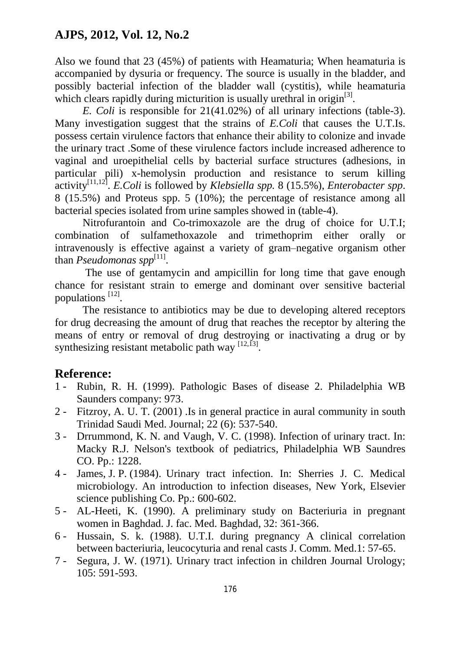Also we found that 23 (45%) of patients with Heamaturia; When heamaturia is accompanied by dysuria or frequency. The source is usually in the bladder, and possibly bacterial infection of the bladder wall (cystitis), while heamaturia which clears rapidly during micturition is usually urethral in origin $^{[3]}$ .

*E. Coli* is responsible for 21(41.02%) of all urinary infections (table-3). Many investigation suggest that the strains of *E.Coli* that causes the U.T.Is. possess certain virulence factors that enhance their ability to colonize and invade the urinary tract .Some of these virulence factors include increased adherence to vaginal and uroepithelial cells by bacterial surface structures (adhesions, in particular pili) x-hemolysin production and resistance to serum killing activity[11,12] . *E.Coli* is followed by *Klebsiella spp.* 8 (15.5%), *Enterobacter spp*. 8 (15.5%) and Proteus spp. 5 (10%); the percentage of resistance among all bacterial species isolated from urine samples showed in (table-4).

Nitrofurantoin and Co-trimoxazole are the drug of choice for U.T.I; combination of sulfamethoxazole and trimethoprim either orally or intravenously is effective against a variety of gram–negative organism other than *Pseudomonas spp* [11] .

The use of gentamycin and ampicillin for long time that gave enough chance for resistant strain to emerge and dominant over sensitive bacterial populations <sup>[12]</sup>.

The resistance to antibiotics may be due to developing altered receptors for drug decreasing the amount of drug that reaches the receptor by altering the means of entry or removal of drug destroying or inactivating a drug or by synthesizing resistant metabolic path way  $^{[12,13]}$ .

# **Reference:**

- 1 Rubin, R. H. (1999). Pathologic Bases of disease 2. Philadelphia WB Saunders company: 973.
- 2 Fitzroy, A. U. T. (2001) .Is in general practice in aural community in south Trinidad Saudi Med. Journal; 22 (6): 537-540.
- 3 Drrummond, K. N. and Vaugh, V. C. (1998). Infection of urinary tract. In: Macky R.J. Nelson's textbook of pediatrics, Philadelphia WB Saundres CO. Pp.: 1228.
- 4 James, J. P. (1984). Urinary tract infection. In: Sherries J. C. Medical microbiology. An introduction to infection diseases, New York, Elsevier science publishing Co. Pp.: 600-602.
- 5 AL-Heeti, K. (1990). A preliminary study on Bacteriuria in pregnant women in Baghdad. J. fac. Med. Baghdad, 32: 361-366.
- 6 Hussain, S. k. (1988). U.T.I. during pregnancy A clinical correlation between bacteriuria, leucocyturia and renal casts J. Comm. Med.1: 57-65.
- 7 Segura, J. W. (1971). Urinary tract infection in children Journal Urology; 105: 591-593.